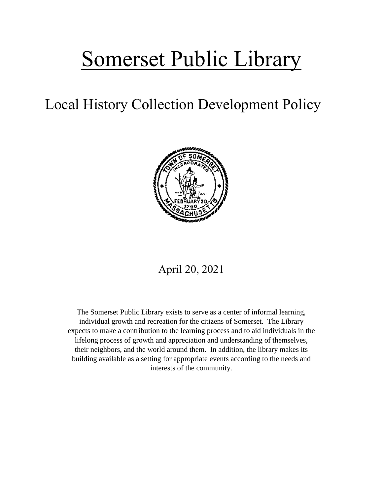# Somerset Public Library

## Local History Collection Development Policy



### April 20, 2021

The Somerset Public Library exists to serve as a center of informal learning, individual growth and recreation for the citizens of Somerset. The Library expects to make a contribution to the learning process and to aid individuals in the lifelong process of growth and appreciation and understanding of themselves, their neighbors, and the world around them. In addition, the library makes its building available as a setting for appropriate events according to the needs and interests of the community.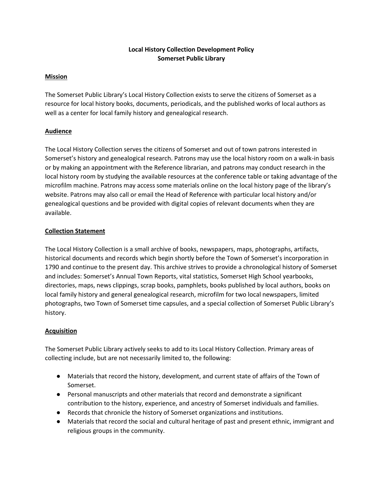#### **Local History Collection Development Policy Somerset Public Library**

#### **Mission**

The Somerset Public Library's Local History Collection exists to serve the citizens of Somerset as a resource for local history books, documents, periodicals, and the published works of local authors as well as a center for local family history and genealogical research.

#### **Audience**

The Local History Collection serves the citizens of Somerset and out of town patrons interested in Somerset's history and genealogical research. Patrons may use the local history room on a walk-in basis or by making an appointment with the Reference librarian, and patrons may conduct research in the local history room by studying the available resources at the conference table or taking advantage of the microfilm machine. Patrons may access some materials online on the local history page of the library's website. Patrons may also call or email the Head of Reference with particular local history and/or genealogical questions and be provided with digital copies of relevant documents when they are available.

#### **Collection Statement**

The Local History Collection is a small archive of books, newspapers, maps, photographs, artifacts, historical documents and records which begin shortly before the Town of Somerset's incorporation in 1790 and continue to the present day. This archive strives to provide a chronological history of Somerset and includes: Somerset's Annual Town Reports, vital statistics, Somerset High School yearbooks, directories, maps, news clippings, scrap books, pamphlets, books published by local authors, books on local family history and general genealogical research, microfilm for two local newspapers, limited photographs, two Town of Somerset time capsules, and a special collection of Somerset Public Library's history.

#### **Acquisition**

The Somerset Public Library actively seeks to add to its Local History Collection. Primary areas of collecting include, but are not necessarily limited to, the following:

- Materials that record the history, development, and current state of affairs of the Town of Somerset.
- Personal manuscripts and other materials that record and demonstrate a significant contribution to the history, experience, and ancestry of Somerset individuals and families.
- Records that chronicle the history of Somerset organizations and institutions.
- Materials that record the social and cultural heritage of past and present ethnic, immigrant and religious groups in the community.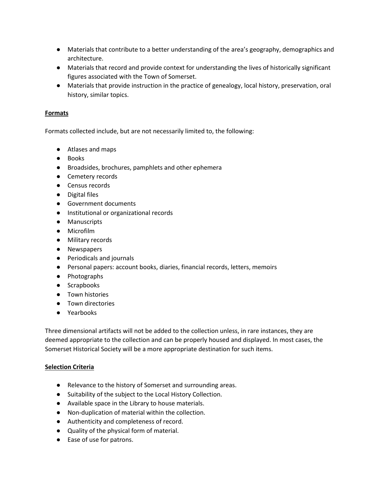- Materials that contribute to a better understanding of the area's geography, demographics and architecture.
- Materials that record and provide context for understanding the lives of historically significant figures associated with the Town of Somerset.
- Materials that provide instruction in the practice of genealogy, local history, preservation, oral history, similar topics.

#### **Formats**

Formats collected include, but are not necessarily limited to, the following:

- Atlases and maps
- Books
- Broadsides, brochures, pamphlets and other ephemera
- Cemetery records
- Census records
- Digital files
- Government documents
- Institutional or organizational records
- Manuscripts
- Microfilm
- Military records
- Newspapers
- Periodicals and journals
- Personal papers: account books, diaries, financial records, letters, memoirs
- Photographs
- Scrapbooks
- Town histories
- Town directories
- Yearbooks

Three dimensional artifacts will not be added to the collection unless, in rare instances, they are deemed appropriate to the collection and can be properly housed and displayed. In most cases, the Somerset Historical Society will be a more appropriate destination for such items.

#### **Selection Criteria**

- Relevance to the history of Somerset and surrounding areas.
- Suitability of the subject to the Local History Collection.
- Available space in the Library to house materials.
- Non-duplication of material within the collection.
- Authenticity and completeness of record.
- Quality of the physical form of material.
- Ease of use for patrons.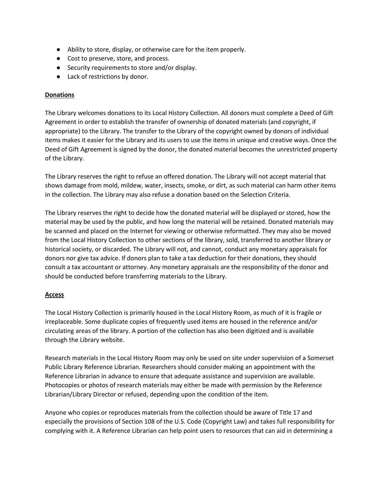- Ability to store, display, or otherwise care for the item properly.
- Cost to preserve, store, and process.
- Security requirements to store and/or display.
- Lack of restrictions by donor.

#### **Donations**

The Library welcomes donations to its Local History Collection. All donors must complete a Deed of Gift Agreement in order to establish the transfer of ownership of donated materials (and copyright, if appropriate) to the Library. The transfer to the Library of the copyright owned by donors of individual items makes it easier for the Library and its users to use the items in unique and creative ways. Once the Deed of Gift Agreement is signed by the donor, the donated material becomes the unrestricted property of the Library.

The Library reserves the right to refuse an offered donation. The Library will not accept material that shows damage from mold, mildew, water, insects, smoke, or dirt, as such material can harm other items in the collection. The Library may also refuse a donation based on the Selection Criteria.

The Library reserves the right to decide how the donated material will be displayed or stored, how the material may be used by the public, and how long the material will be retained. Donated materials may be scanned and placed on the Internet for viewing or otherwise reformatted. They may also be moved from the Local History Collection to other sections of the library, sold, transferred to another library or historical society, or discarded. The Library will not, and cannot, conduct any monetary appraisals for donors nor give tax advice. If donors plan to take a tax deduction for their donations, they should consult a tax accountant or attorney. Any monetary appraisals are the responsibility of the donor and should be conducted before transferring materials to the Library.

#### **Access**

The Local History Collection is primarily housed in the Local History Room, as much of it is fragile or irreplaceable. Some duplicate copies of frequently used items are housed in the reference and/or circulating areas of the library. A portion of the collection has also been digitized and is available through the Library website.

Research materials in the Local History Room may only be used on site under supervision of a Somerset Public Library Reference Librarian. Researchers should consider making an appointment with the Reference Librarian in advance to ensure that adequate assistance and supervision are available. Photocopies or photos of research materials may either be made with permission by the Reference Librarian/Library Director or refused, depending upon the condition of the item.

Anyone who copies or reproduces materials from the collection should be aware of Title 17 and especially the provisions of Section 108 of the U.S. Code (Copyright Law) and takes full responsibility for complying with it. A Reference Librarian can help point users to resources that can aid in determining a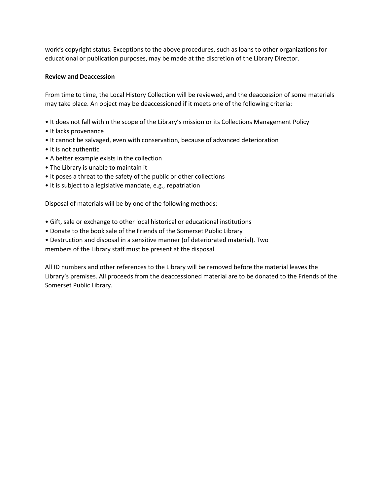work's copyright status. Exceptions to the above procedures, such as loans to other organizations for educational or publication purposes, may be made at the discretion of the Library Director.

#### **Review and Deaccession**

From time to time, the Local History Collection will be reviewed, and the deaccession of some materials may take place. An object may be deaccessioned if it meets one of the following criteria:

- It does not fall within the scope of the Library's mission or its Collections Management Policy
- It lacks provenance
- It cannot be salvaged, even with conservation, because of advanced deterioration
- It is not authentic
- A better example exists in the collection
- The Library is unable to maintain it
- It poses a threat to the safety of the public or other collections
- It is subject to a legislative mandate, e.g., repatriation

Disposal of materials will be by one of the following methods:

- Gift, sale or exchange to other local historical or educational institutions
- Donate to the book sale of the Friends of the Somerset Public Library
- Destruction and disposal in a sensitive manner (of deteriorated material). Two members of the Library staff must be present at the disposal.

All ID numbers and other references to the Library will be removed before the material leaves the Library's premises. All proceeds from the deaccessioned material are to be donated to the Friends of the Somerset Public Library.